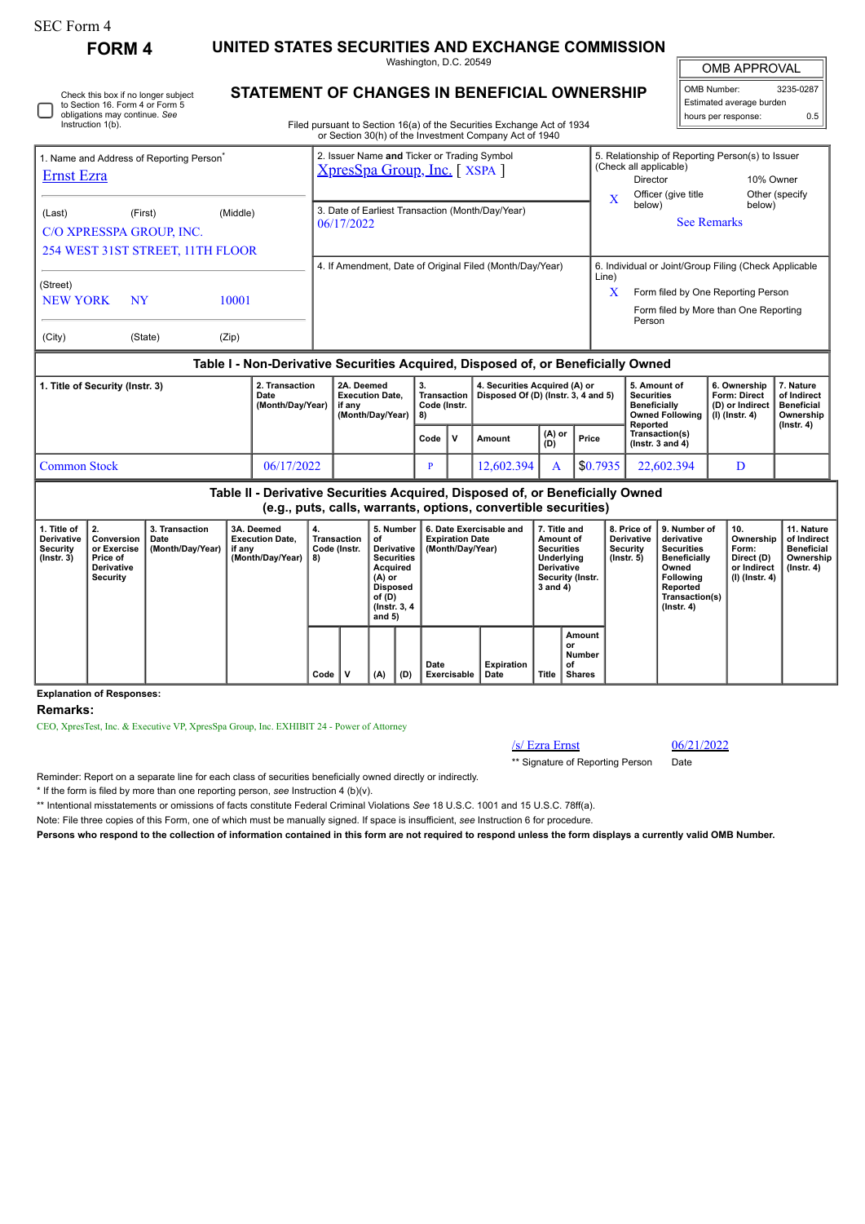| SEC Form 4 |  |
|------------|--|
|------------|--|

Check this box if no longer subject to Section 16. Form 4 or Form 5 obligations may continue. *See*

**FORM 4 UNITED STATES SECURITIES AND EXCHANGE COMMISSION** Washington, D.C. 20549

**STATEMENT OF CHANGES IN BEN** 

OMB APPROVAL

| <b>EFICIAL OWNERSHIP</b> | OMB Number:              | 3235-0287 |  |  |  |  |
|--------------------------|--------------------------|-----------|--|--|--|--|
|                          | Estimated average burden |           |  |  |  |  |
| s Exchange Act of 1934   | hours per response:      | 0.5       |  |  |  |  |
| pany Act of 1940         |                          |           |  |  |  |  |

 $\mathbb{I}$ 

## Instruction 1(b). Filed pursuant to Section 16(a) of the Securities Exchange Act of 1934 or Section 30(h) of the Investment Company Act of 1940 ÷ 2. Issuer Name **and** Ticker or Trading Symbol 5. Relationship of Reporting Person(s) to Issuer 1. Name and Address of Reporting Person\* (Check all applicable) [XpresSpa Group, Inc.](http://www.sec.gov/cgi-bin/browse-edgar?action=getcompany&CIK=0001410428) [ XSPA ] [Ernst Ezra](http://www.sec.gov/cgi-bin/browse-edgar?action=getcompany&CIK=0001905331) Director 10% Owner Officer (give title Other (specify X below) below) 3. Date of Earliest Transaction (Month/Day/Year) (Last) (First) (Middle) 06/17/2022 See Remarks C/O XPRESSPA GROUP, INC. 254 WEST 31ST STREET, 11TH FLOOR 4. If Amendment, Date of Original Filed (Month/Day/Year) 6. Individual or Joint/Group Filing (Check Applicable Line) (Street) X Form filed by One Reporting Person NEW YORK NY 10001 Form filed by More than One Reporting Person (City) (State) (Zip) **Table I - Non-Derivative Securities Acquired, Disposed of, or Beneficially Owned**

| 1. Title of Security (Instr. 3) | 2. Transaction<br>Date<br>(Month/Day/Year) | 2A. Deemed<br><b>Execution Date.</b><br>if anv<br>(Month/Dav/Year) | -3.<br>Code (Instr.<br>I 8) |  | 4. Securities Acquired (A) or<br>Transaction   Disposed Of (D) (Instr. 3, 4 and 5) |               |          | 5. Amount of<br>Securities<br><b>Beneficially</b><br>Owned Following   (I) (Instr. 4) | 6. Ownership<br><b>Form: Direct</b><br>(D) or Indirect | . Nature<br>of Indirect<br>Beneficial<br>Ownership<br>$($ lnstr. 4 $)$ |
|---------------------------------|--------------------------------------------|--------------------------------------------------------------------|-----------------------------|--|------------------------------------------------------------------------------------|---------------|----------|---------------------------------------------------------------------------------------|--------------------------------------------------------|------------------------------------------------------------------------|
|                                 |                                            |                                                                    | Code                        |  | Amount                                                                             | (A) or<br>(D) | Price    | Reported<br>Transaction(s)<br>( $lnstr. 3$ and $4$ )                                  |                                                        |                                                                        |
| Common Stock                    | 06/17/2022                                 |                                                                    |                             |  | 12,602,394                                                                         |               | \$0.7935 | 22,602,394                                                                            | D                                                      |                                                                        |

|                                                                  | Table II - Derivative Securities Acquired, Disposed of, or Beneficially Owned<br>(e.g., puts, calls, warrants, options, convertible securities) |                                            |                                                                    |                                         |   |                                                                             |                                              |                                                                       |                                                                                                            |       |                                                                  |                                                                                                                                                |                                                                          |                                                                           |  |
|------------------------------------------------------------------|-------------------------------------------------------------------------------------------------------------------------------------------------|--------------------------------------------|--------------------------------------------------------------------|-----------------------------------------|---|-----------------------------------------------------------------------------|----------------------------------------------|-----------------------------------------------------------------------|------------------------------------------------------------------------------------------------------------|-------|------------------------------------------------------------------|------------------------------------------------------------------------------------------------------------------------------------------------|--------------------------------------------------------------------------|---------------------------------------------------------------------------|--|
| 1. Title of<br><b>Derivative</b><br>Security<br>$($ lnstr. 3 $)$ | Conversion<br>or Exercise<br>Price of<br><b>Derivative</b><br>Security                                                                          | 3. Transaction<br>Date<br>(Month/Day/Year) | 3A. Deemed<br><b>Execution Date.</b><br>if any<br>(Month/Day/Year) | 4.<br>Transaction<br>Code (Instr.<br>8) |   | οf<br>Acquired<br>(A) or<br>Disposed<br>of (D)<br>(Instr. 3, 4)<br>and $5)$ | 5. Number<br>Derivative<br><b>Securities</b> | 6. Date Exercisable and<br><b>Expiration Date</b><br>(Month/Day/Year) | 7. Title and<br>Amount of<br><b>Securities</b><br>Underlying<br>Derivative<br>Security (Instr.<br>3 and 4) |       | 8. Price of<br><b>Derivative</b><br>Security<br>$($ lnstr. 5 $)$ | 9. Number of<br>derivative<br><b>Securities</b><br><b>Beneficially</b><br>Owned<br>Following<br>Reported<br>Transaction(s)<br>$($ Instr. 4 $)$ | 10.<br>Ownership<br>Form:<br>Direct (D)<br>or Indirect<br>(I) (Instr. 4) | 11. Nature<br>of Indirect<br><b>Beneficial</b><br>Ownership<br>(Instr. 4) |  |
|                                                                  |                                                                                                                                                 |                                            |                                                                    | Code                                    | ν | (A)                                                                         | (D)                                          | Date<br>Exercisable                                                   | Expiration<br>Date                                                                                         | Title | Amount<br>or<br>Number<br>οf<br>Shares                           |                                                                                                                                                |                                                                          |                                                                           |  |

## **Explanation of Responses:**

**Remarks:**

CEO, XpresTest, Inc. & Executive VP, XpresSpa Group, Inc. EXHIBIT 24 - Power of Attorney

/s/ Ezra Ernst 06/21/2022

\*\* Signature of Reporting Person Date

Reminder: Report on a separate line for each class of securities beneficially owned directly or indirectly.

\* If the form is filed by more than one reporting person, *see* Instruction 4 (b)(v).

\*\* Intentional misstatements or omissions of facts constitute Federal Criminal Violations *See* 18 U.S.C. 1001 and 15 U.S.C. 78ff(a).

Note: File three copies of this Form, one of which must be manually signed. If space is insufficient, *see* Instruction 6 for procedure.

**Persons who respond to the collection of information contained in this form are not required to respond unless the form displays a currently valid OMB Number.**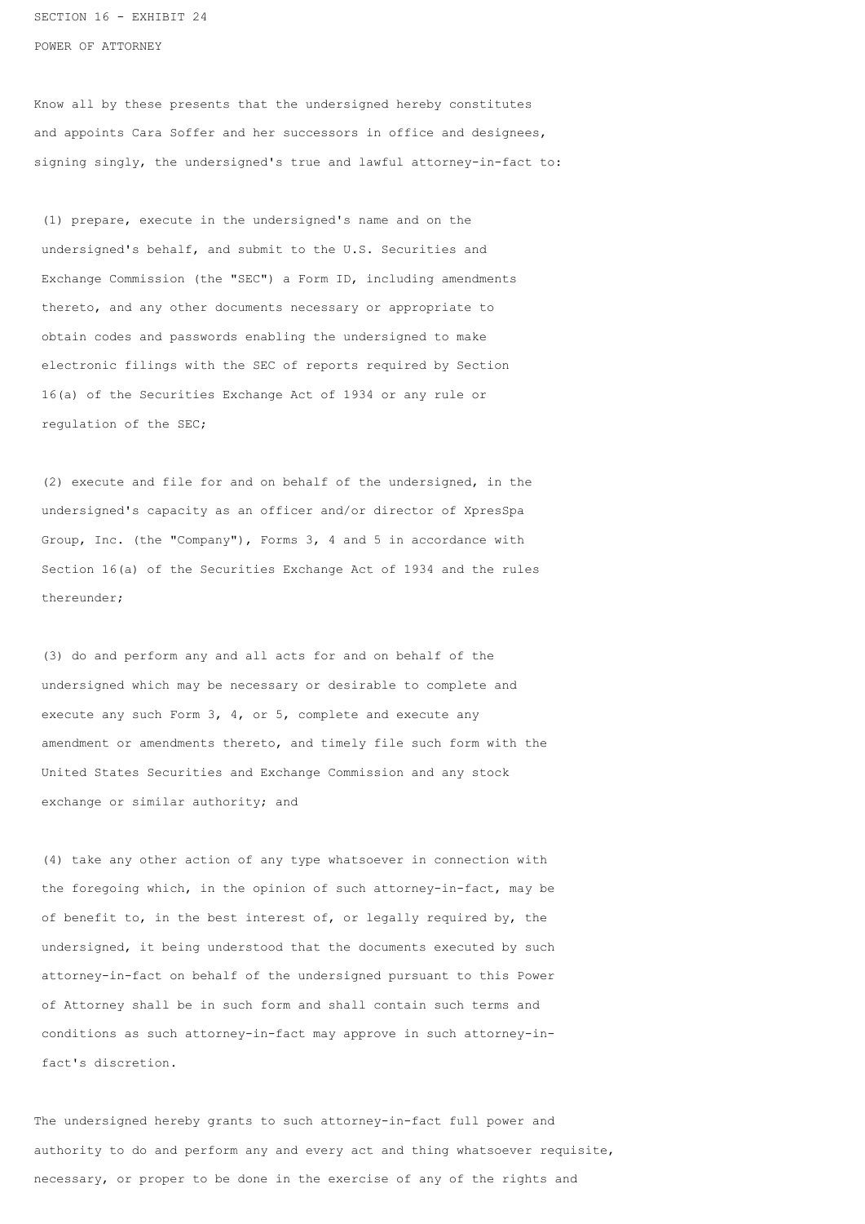SECTION 16 - EXHIBIT 24

POWER OF ATTORNEY

Know all by these presents that the undersigned hereby constitutes and appoints Cara Soffer and her successors in office and designees, signing singly, the undersigned's true and lawful attorney-in-fact to:

 (1) prepare, execute in the undersigned's name and on the undersigned's behalf, and submit to the U.S. Securities and Exchange Commission (the "SEC") a Form ID, including amendments thereto, and any other documents necessary or appropriate to obtain codes and passwords enabling the undersigned to make electronic filings with the SEC of reports required by Section 16(a) of the Securities Exchange Act of 1934 or any rule or regulation of the SEC;

 (2) execute and file for and on behalf of the undersigned, in the undersigned's capacity as an officer and/or director of XpresSpa Group, Inc. (the "Company"), Forms 3, 4 and 5 in accordance with Section 16(a) of the Securities Exchange Act of 1934 and the rules thereunder;

 (3) do and perform any and all acts for and on behalf of the undersigned which may be necessary or desirable to complete and execute any such Form 3, 4, or 5, complete and execute any amendment or amendments thereto, and timely file such form with the United States Securities and Exchange Commission and any stock exchange or similar authority; and

 (4) take any other action of any type whatsoever in connection with the foregoing which, in the opinion of such attorney-in-fact, may be of benefit to, in the best interest of, or legally required by, the undersigned, it being understood that the documents executed by such attorney-in-fact on behalf of the undersigned pursuant to this Power of Attorney shall be in such form and shall contain such terms and conditions as such attorney-in-fact may approve in such attorney-in fact's discretion.

The undersigned hereby grants to such attorney-in-fact full power and authority to do and perform any and every act and thing whatsoever requisite, necessary, or proper to be done in the exercise of any of the rights and